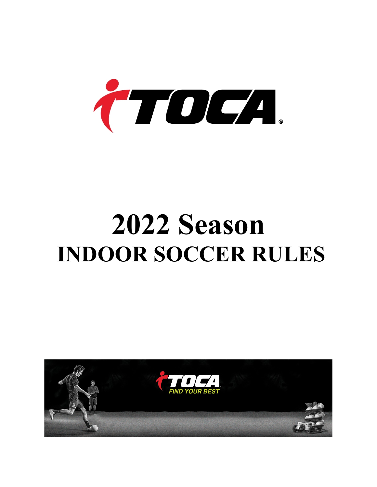

# **2022 Season INDOOR SOCCER RULES**

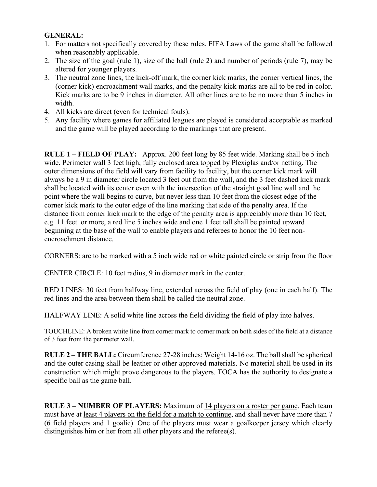## **GENERAL:**

- 1. For matters not specifically covered by these rules, FIFA Laws of the game shall be followed when reasonably applicable.
- 2. The size of the goal (rule 1), size of the ball (rule 2) and number of periods (rule 7), may be altered for younger players.
- 3. The neutral zone lines, the kick-off mark, the corner kick marks, the corner vertical lines, the (corner kick) encroachment wall marks, and the penalty kick marks are all to be red in color. Kick marks are to be 9 inches in diameter. All other lines are to be no more than 5 inches in width.
- 4. All kicks are direct (even for technical fouls).
- 5. Any facility where games for affiliated leagues are played is considered acceptable as marked and the game will be played according to the markings that are present.

**RULE 1 – FIELD OF PLAY:** Approx. 200 feet long by 85 feet wide. Marking shall be 5 inch wide. Perimeter wall 3 feet high, fully enclosed area topped by Plexiglas and/or netting. The outer dimensions of the field will vary from facility to facility, but the corner kick mark will always be a 9 in diameter circle located 3 feet out from the wall, and the 3 feet dashed kick mark shall be located with its center even with the intersection of the straight goal line wall and the point where the wall begins to curve, but never less than 10 feet from the closest edge of the corner kick mark to the outer edge of the line marking that side of the penalty area. If the distance from corner kick mark to the edge of the penalty area is appreciably more than 10 feet, e.g. 11 feet. or more, a red line 5 inches wide and one 1 feet tall shall be painted upward beginning at the base of the wall to enable players and referees to honor the 10 feet nonencroachment distance.

CORNERS: are to be marked with a 5 inch wide red or white painted circle or strip from the floor

CENTER CIRCLE: 10 feet radius, 9 in diameter mark in the center.

RED LINES: 30 feet from halfway line, extended across the field of play (one in each half). The red lines and the area between them shall be called the neutral zone.

HALFWAY LINE: A solid white line across the field dividing the field of play into halves.

TOUCHLINE: A broken white line from corner mark to corner mark on both sides of the field at a distance of 3 feet from the perimeter wall.

**RULE 2 – THE BALL:** Circumference 27-28 inches; Weight 14-16 oz. The ball shall be spherical and the outer casing shall be leather or other approved materials. No material shall be used in its construction which might prove dangerous to the players. TOCA has the authority to designate a specific ball as the game ball.

**RULE 3 – NUMBER OF PLAYERS:** Maximum of 14 players on a roster per game. Each team must have at least 4 players on the field for a match to continue, and shall never have more than 7 (6 field players and 1 goalie). One of the players must wear a goalkeeper jersey which clearly distinguishes him or her from all other players and the referee(s).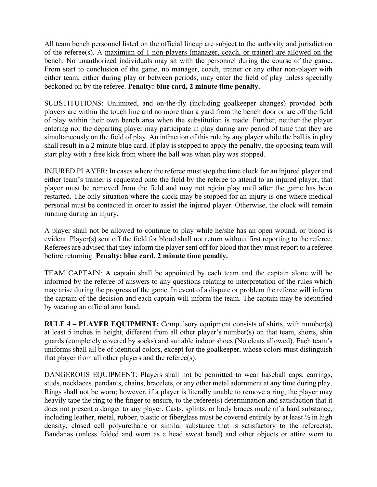All team bench personnel listed on the official lineup are subject to the authority and jurisdiction of the referee(s). A maximum of 1 non-players (manager, coach, or trainer) are allowed on the bench. No unauthorized individuals may sit with the personnel during the course of the game. From start to conclusion of the game, no manager, coach, trainer or any other non-player with either team, either during play or between periods, may enter the field of play unless specially beckoned on by the referee. **Penalty: blue card, 2 minute time penalty.**

SUBSTITUTIONS: Unlimited, and on-the-fly (including goalkeeper changes) provided both players are within the touch line and no more than a yard from the bench door or are off the field of play within their own bench area when the substitution is made. Further, neither the player entering nor the departing player may participate in play during any period of time that they are simultaneously on the field of play. An infraction of this rule by any player while the ball is in play shall result in a 2 minute blue card. If play is stopped to apply the penalty, the opposing team will start play with a free kick from where the ball was when play was stopped.

INJURED PLAYER: In cases where the referee must stop the time clock for an injured player and either team's trainer is requested onto the field by the referee to attend to an injured player, that player must be removed from the field and may not rejoin play until after the game has been restarted. The only situation where the clock may be stopped for an injury is one where medical personal must be contacted in order to assist the injured player. Otherwise, the clock will remain running during an injury.

A player shall not be allowed to continue to play while he/she has an open wound, or blood is evident. Player(s) sent off the field for blood shall not return without first reporting to the referee. Referees are advised that they inform the player sent off for blood that they must report to a referee before returning. **Penalty: blue card, 2 minute time penalty.**

TEAM CAPTAIN: A captain shall be appointed by each team and the captain alone will be informed by the referee of answers to any questions relating to interpretation of the rules which may arise during the progress of the game. In event of a dispute or problem the referee will inform the captain of the decision and each captain will inform the team. The captain may be identified by wearing an official arm band.

**RULE 4 – PLAYER EQUIPMENT:** Compulsory equipment consists of shirts, with number(s) at least 5 inches in height, different from all other player's number(s) on that team, shorts, shin guards (completely covered by socks) and suitable indoor shoes (No cleats allowed). Each team's uniforms shall all be of identical colors, except for the goalkeeper, whose colors must distinguish that player from all other players and the referee(s).

DANGEROUS EQUIPMENT: Players shall not be permitted to wear baseball caps, earrings, studs, necklaces, pendants, chains, bracelets, or any other metal adornment at any time during play. Rings shall not be worn; however, if a player is literally unable to remove a ring, the player may heavily tape the ring to the finger to ensure, to the referee(s) determination and satisfaction that it does not present a danger to any player. Casts, splints, or body braces made of a hard substance, including leather, metal, rubber, plastic or fiberglass must be covered entirely by at least ½ in high density, closed cell polyurethane or similar substance that is satisfactory to the referee(s). Bandanas (unless folded and worn as a head sweat band) and other objects or attire worn to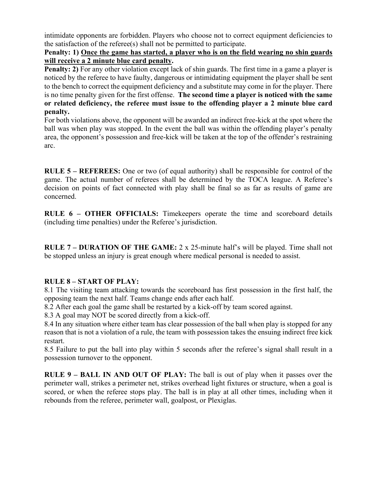intimidate opponents are forbidden. Players who choose not to correct equipment deficiencies to the satisfaction of the referee(s) shall not be permitted to participate.

## **Penalty: 1) Once the game has started, a player who is on the field wearing no shin guards will receive a 2 minute blue card penalty.**

**Penalty: 2)** For any other violation except lack of shin guards. The first time in a game a player is noticed by the referee to have faulty, dangerous or intimidating equipment the player shall be sent to the bench to correct the equipment deficiency and a substitute may come in for the player. There is no time penalty given for the first offense. **The second time a player is noticed with the same or related deficiency, the referee must issue to the offending player a 2 minute blue card penalty.**

For both violations above, the opponent will be awarded an indirect free-kick at the spot where the ball was when play was stopped. In the event the ball was within the offending player's penalty area, the opponent's possession and free-kick will be taken at the top of the offender's restraining arc.

**RULE 5 – REFEREES:** One or two (of equal authority) shall be responsible for control of the game. The actual number of referees shall be determined by the TOCA league. A Referee's decision on points of fact connected with play shall be final so as far as results of game are concerned.

**RULE 6 – OTHER OFFICIALS:** Timekeepers operate the time and scoreboard details (including time penalties) under the Referee's jurisdiction.

**RULE 7 – DURATION OF THE GAME:** 2 x 25-minute half's will be played. Time shall not be stopped unless an injury is great enough where medical personal is needed to assist.

## **RULE 8 – START OF PLAY:**

8.1 The visiting team attacking towards the scoreboard has first possession in the first half, the opposing team the next half. Teams change ends after each half.

8.2 After each goal the game shall be restarted by a kick-off by team scored against.

8.3 A goal may NOT be scored directly from a kick-off.

8.4 In any situation where either team has clear possession of the ball when play is stopped for any reason that is not a violation of a rule, the team with possession takes the ensuing indirect free kick restart.

8.5 Failure to put the ball into play within 5 seconds after the referee's signal shall result in a possession turnover to the opponent.

**RULE 9 – BALL IN AND OUT OF PLAY:** The ball is out of play when it passes over the perimeter wall, strikes a perimeter net, strikes overhead light fixtures or structure, when a goal is scored, or when the referee stops play. The ball is in play at all other times, including when it rebounds from the referee, perimeter wall, goalpost, or Plexiglas.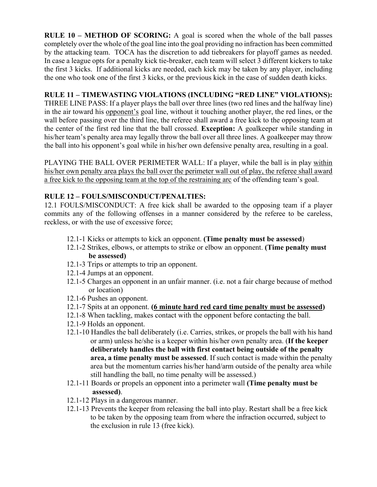**RULE 10 – METHOD OF SCORING:** A goal is scored when the whole of the ball passes completely over the whole of the goal line into the goal providing no infraction has been committed by the attacking team. TOCA has the discretion to add tiebreakers for playoff games as needed. In case a league opts for a penalty kick tie-breaker, each team will select 3 different kickers to take the first 3 kicks. If additional kicks are needed, each kick may be taken by any player, including the one who took one of the first 3 kicks, or the previous kick in the case of sudden death kicks.

## **RULE 11 – TIMEWASTING VIOLATIONS (INCLUDING "RED LINE" VIOLATIONS):**

THREE LINE PASS: If a player plays the ball over three lines (two red lines and the halfway line) in the air toward his opponent's goal line, without it touching another player, the red lines, or the wall before passing over the third line, the referee shall award a free kick to the opposing team at the center of the first red line that the ball crossed. **Exception:** A goalkeeper while standing in his/her team's penalty area may legally throw the ball over all three lines. A goalkeeper may throw the ball into his opponent's goal while in his/her own defensive penalty area, resulting in a goal.

PLAYING THE BALL OVER PERIMETER WALL: If a player, while the ball is in play within his/her own penalty area plays the ball over the perimeter wall out of play, the referee shall award a free kick to the opposing team at the top of the restraining arc of the offending team's goal.

## **RULE 12 – FOULS/MISCONDUCT/PENALTIES:**

12.1 FOULS/MISCONDUCT: A free kick shall be awarded to the opposing team if a player commits any of the following offenses in a manner considered by the referee to be careless, reckless, or with the use of excessive force;

- 12.1-1 Kicks or attempts to kick an opponent. **(Time penalty must be assessed**)
- 12.1-2 Strikes, elbows, or attempts to strike or elbow an opponent. **(Time penalty must be assessed)**
- 12.1-3 Trips or attempts to trip an opponent.
- 12.1-4 Jumps at an opponent.
- 12.1-5 Charges an opponent in an unfair manner. (i.e. not a fair charge because of method or location)
- 12.1-6 Pushes an opponent.
- 12.1-7 Spits at an opponent. **(6 minute hard red card time penalty must be assessed)**
- 12.1-8 When tackling, makes contact with the opponent before contacting the ball.
- 12.1-9 Holds an opponent.
- 12.1-10 Handles the ball deliberately (i.e. Carries, strikes, or propels the ball with his hand or arm) unless he/she is a keeper within his/her own penalty area. (**If the keeper deliberately handles the ball with first contact being outside of the penalty area, a time penalty must be assessed**. If such contact is made within the penalty area but the momentum carries his/her hand/arm outside of the penalty area while still handling the ball, no time penalty will be assessed.)
- 12.1-11 Boards or propels an opponent into a perimeter wall **(Time penalty must be assessed)**.
- 12.1-12 Plays in a dangerous manner.
- 12.1-13 Prevents the keeper from releasing the ball into play. Restart shall be a free kick to be taken by the opposing team from where the infraction occurred, subject to the exclusion in rule 13 (free kick).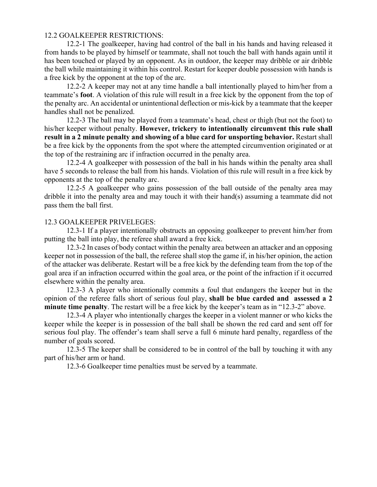#### 12.2 GOALKEEPER RESTRICTIONS:

12.2-1 The goalkeeper, having had control of the ball in his hands and having released it from hands to be played by himself or teammate, shall not touch the ball with hands again until it has been touched or played by an opponent. As in outdoor, the keeper may dribble or air dribble the ball while maintaining it within his control. Restart for keeper double possession with hands is a free kick by the opponent at the top of the arc.

12.2-2 A keeper may not at any time handle a ball intentionally played to him/her from a teammate's **foot**. A violation of this rule will result in a free kick by the opponent from the top of the penalty arc. An accidental or unintentional deflection or mis-kick by a teammate that the keeper handles shall not be penalized.

12.2-3 The ball may be played from a teammate's head, chest or thigh (but not the foot) to his/her keeper without penalty. **However, trickery to intentionally circumvent this rule shall result in a 2 minute penalty and showing of a blue card for unsporting behavior.** Restart shall be a free kick by the opponents from the spot where the attempted circumvention originated or at the top of the restraining arc if infraction occurred in the penalty area.

12.2-4 A goalkeeper with possession of the ball in his hands within the penalty area shall have 5 seconds to release the ball from his hands. Violation of this rule will result in a free kick by opponents at the top of the penalty arc.

12.2-5 A goalkeeper who gains possession of the ball outside of the penalty area may dribble it into the penalty area and may touch it with their hand(s) assuming a teammate did not pass them the ball first.

#### 12.3 GOALKEEPER PRIVELEGES:

12.3-1 If a player intentionally obstructs an opposing goalkeeper to prevent him/her from putting the ball into play, the referee shall award a free kick.

12.3-2 In cases of body contact within the penalty area between an attacker and an opposing keeper not in possession of the ball, the referee shall stop the game if, in his/her opinion, the action of the attacker was deliberate. Restart will be a free kick by the defending team from the top of the goal area if an infraction occurred within the goal area, or the point of the infraction if it occurred elsewhere within the penalty area.

12.3-3 A player who intentionally commits a foul that endangers the keeper but in the opinion of the referee falls short of serious foul play, **shall be blue carded and assessed a 2 minute time penalty**. The restart will be a free kick by the keeper's team as in "12.3-2" above.

12.3-4 A player who intentionally charges the keeper in a violent manner or who kicks the keeper while the keeper is in possession of the ball shall be shown the red card and sent off for serious foul play. The offender's team shall serve a full 6 minute hard penalty, regardless of the number of goals scored.

12.3-5 The keeper shall be considered to be in control of the ball by touching it with any part of his/her arm or hand.

12.3-6 Goalkeeper time penalties must be served by a teammate.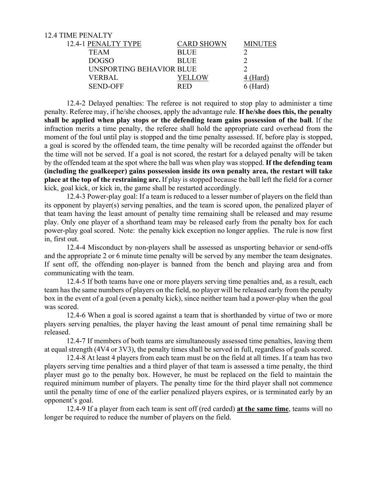| 12.4 TIME PENALTY        |                   |                 |
|--------------------------|-------------------|-----------------|
| 12.4-1 PENALTY TYPE      | <b>CARD SHOWN</b> | <b>MINUTES</b>  |
| <b>TEAM</b>              | <b>BLUE</b>       |                 |
| <b>DOGSO</b>             | <b>BLUE</b>       |                 |
| UNSPORTING BEHAVIOR BLUE |                   |                 |
| <b>VERBAL</b>            | YELLOW            | <u>4 (Hard)</u> |
| <b>SEND-OFF</b>          | <b>RED</b>        | $6$ (Hard)      |
|                          |                   |                 |

12.4-2 Delayed penalties: The referee is not required to stop play to administer a time penalty. Referee may, if he/she chooses, apply the advantage rule. **If he/she does this, the penalty shall be applied when play stops or the defending team gains possession of the ball**. If the infraction merits a time penalty, the referee shall hold the appropriate card overhead from the moment of the foul until play is stopped and the time penalty assessed. If, before play is stopped, a goal is scored by the offended team, the time penalty will be recorded against the offender but the time will not be served. If a goal is not scored, the restart for a delayed penalty will be taken by the offended team at the spot where the ball was when play was stopped. **If the defending team (including the goalkeeper) gains possession inside its own penalty area, the restart will take place at the top of the restraining arc.** If play is stopped because the ball left the field for a corner kick, goal kick, or kick in, the game shall be restarted accordingly.

12.4-3 Power-play goal: If a team is reduced to a lesser number of players on the field than its opponent by player(s) serving penalties, and the team is scored upon, the penalized player of that team having the least amount of penalty time remaining shall be released and may resume play. Only one player of a shorthand team may be released early from the penalty box for each power-play goal scored. Note: the penalty kick exception no longer applies. The rule is now first in, first out.

12.4-4 Misconduct by non-players shall be assessed as unsporting behavior or send-offs and the appropriate 2 or 6 minute time penalty will be served by any member the team designates. If sent off, the offending non-player is banned from the bench and playing area and from communicating with the team.

12.4-5 If both teams have one or more players serving time penalties and, as a result, each team has the same numbers of players on the field, no player will be released early from the penalty box in the event of a goal (even a penalty kick), since neither team had a power-play when the goal was scored.

12.4-6 When a goal is scored against a team that is shorthanded by virtue of two or more players serving penalties, the player having the least amount of penal time remaining shall be released.

12.4-7 If members of both teams are simultaneously assessed time penalties, leaving them at equal strength (4V4 or 3V3), the penalty times shall be served in full, regardless of goals scored.

12.4-8 At least 4 players from each team must be on the field at all times. If a team has two players serving time penalties and a third player of that team is assessed a time penalty, the third player must go to the penalty box. However, he must be replaced on the field to maintain the required minimum number of players. The penalty time for the third player shall not commence until the penalty time of one of the earlier penalized players expires, or is terminated early by an opponent's goal.

12.4-9 If a player from each team is sent off (red carded) **at the same time**, teams will no longer be required to reduce the number of players on the field.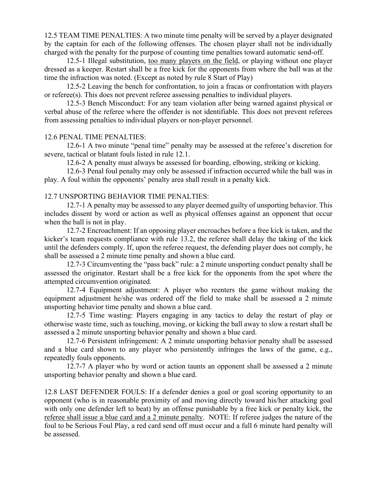12.5 TEAM TIME PENALTIES: A two minute time penalty will be served by a player designated by the captain for each of the following offenses. The chosen player shall not be individually charged with the penalty for the purpose of counting time penalties toward automatic send-off.

12.5-1 Illegal substitution, too many players on the field, or playing without one player dressed as a keeper. Restart shall be a free kick for the opponents from where the ball was at the time the infraction was noted. (Except as noted by rule 8 Start of Play)

12.5-2 Leaving the bench for confrontation, to join a fracas or confrontation with players or referee(s). This does not prevent referee assessing penalties to individual players.

12.5-3 Bench Misconduct: For any team violation after being warned against physical or verbal abuse of the referee where the offender is not identifiable. This does not prevent referees from assessing penalties to individual players or non-player personnel.

#### 12.6 PENAL TIME PENALTIES:

12.6-1 A two minute "penal time" penalty may be assessed at the referee's discretion for severe, tactical or blatant fouls listed in rule 12.1.

12.6-2 A penalty must always be assessed for boarding, elbowing, striking or kicking.

12.6-3 Penal foul penalty may only be assessed if infraction occurred while the ball was in play. A foul within the opponents' penalty area shall result in a penalty kick.

### 12.7 UNSPORTING BEHAVIOR TIME PENALTIES:

12.7-1 A penalty may be assessed to any player deemed guilty of unsporting behavior. This includes dissent by word or action as well as physical offenses against an opponent that occur when the ball is not in play.

12.7-2 Encroachment: If an opposing player encroaches before a free kick is taken, and the kicker's team requests compliance with rule 13.2, the referee shall delay the taking of the kick until the defenders comply. If, upon the referee request, the defending player does not comply, he shall be assessed a 2 minute time penalty and shown a blue card.

12.7-3 Circumventing the "pass back" rule: a 2 minute unsporting conduct penalty shall be assessed the originator. Restart shall be a free kick for the opponents from the spot where the attempted circumvention originated.

12.7-4 Equipment adjustment: A player who reenters the game without making the equipment adjustment he/she was ordered off the field to make shall be assessed a 2 minute unsporting behavior time penalty and shown a blue card.

12.7-5 Time wasting: Players engaging in any tactics to delay the restart of play or otherwise waste time, such as touching, moving, or kicking the ball away to slow a restart shall be assessed a 2 minute unsporting behavior penalty and shown a blue card.

12.7-6 Persistent infringement: A 2 minute unsporting behavior penalty shall be assessed and a blue card shown to any player who persistently infringes the laws of the game, e.g., repeatedly fouls opponents.

12.7-7 A player who by word or action taunts an opponent shall be assessed a 2 minute unsporting behavior penalty and shown a blue card.

12.8 LAST DEFENDER FOULS: If a defender denies a goal or goal scoring opportunity to an opponent (who is in reasonable proximity of and moving directly toward his/her attacking goal with only one defender left to beat) by an offense punishable by a free kick or penalty kick, the referee shall issue a blue card and a 2 minute penalty. NOTE: If referee judges the nature of the foul to be Serious Foul Play, a red card send off must occur and a full 6 minute hard penalty will be assessed.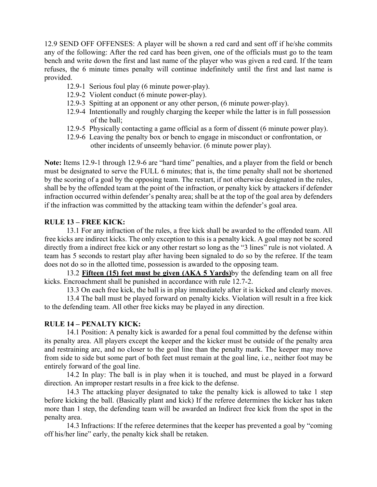12.9 SEND OFF OFFENSES: A player will be shown a red card and sent off if he/she commits any of the following: After the red card has been given, one of the officials must go to the team bench and write down the first and last name of the player who was given a red card. If the team refuses, the 6 minute times penalty will continue indefinitely until the first and last name is provided.

- 12.9-1 Serious foul play (6 minute power-play).
- 12.9-2 Violent conduct (6 minute power-play).
- 12.9-3 Spitting at an opponent or any other person, (6 minute power-play).
- 12.9-4 Intentionally and roughly charging the keeper while the latter is in full possession of the ball;
- 12.9-5 Physically contacting a game official as a form of dissent (6 minute power play).
- 12.9-6 Leaving the penalty box or bench to engage in misconduct or confrontation, or other incidents of unseemly behavior. (6 minute power play).

**Note:** Items 12.9-1 through 12.9-6 are "hard time" penalties, and a player from the field or bench must be designated to serve the FULL 6 minutes; that is, the time penalty shall not be shortened by the scoring of a goal by the opposing team. The restart, if not otherwise designated in the rules, shall be by the offended team at the point of the infraction, or penalty kick by attackers if defender infraction occurred within defender's penalty area; shall be at the top of the goal area by defenders if the infraction was committed by the attacking team within the defender's goal area.

## **RULE 13 – FREE KICK:**

13.1 For any infraction of the rules, a free kick shall be awarded to the offended team. All free kicks are indirect kicks. The only exception to this is a penalty kick. A goal may not be scored directly from a indirect free kick or any other restart so long as the "3 lines" rule is not violated. A team has 5 seconds to restart play after having been signaled to do so by the referee. If the team does not do so in the allotted time, possession is awarded to the opposing team.

13.2 **Fifteen (15) feet must be given (AKA 5 Yards)**by the defending team on all free kicks. Encroachment shall be punished in accordance with rule 12.7-2.

13.3 On each free kick, the ball is in play immediately after it is kicked and clearly moves.

13.4 The ball must be played forward on penalty kicks. Violation will result in a free kick to the defending team. All other free kicks may be played in any direction.

### **RULE 14 – PENALTY KICK:**

14.1 Position: A penalty kick is awarded for a penal foul committed by the defense within its penalty area. All players except the keeper and the kicker must be outside of the penalty area and restraining arc, and no closer to the goal line than the penalty mark. The keeper may move from side to side but some part of both feet must remain at the goal line, i.e., neither foot may be entirely forward of the goal line.

14.2 In play: The ball is in play when it is touched, and must be played in a forward direction. An improper restart results in a free kick to the defense.

14.3 The attacking player designated to take the penalty kick is allowed to take 1 step before kicking the ball. (Basically plant and kick) If the referee determines the kicker has taken more than 1 step, the defending team will be awarded an Indirect free kick from the spot in the penalty area.

14.3 Infractions: If the referee determines that the keeper has prevented a goal by "coming off his/her line" early, the penalty kick shall be retaken.